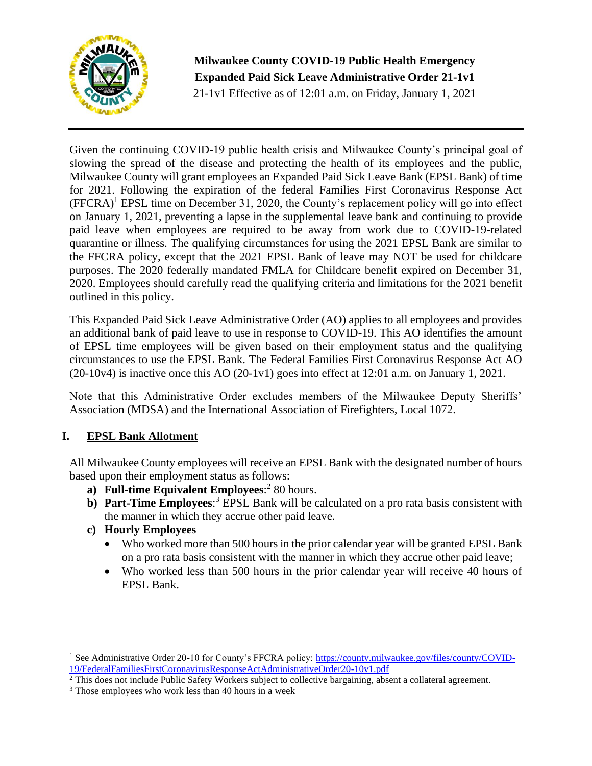

**Milwaukee County COVID-19 Public Health Emergency Expanded Paid Sick Leave Administrative Order 21-1v1** 21-1v1 Effective as of 12:01 a.m. on Friday, January 1, 2021

Given the continuing COVID-19 public health crisis and Milwaukee County's principal goal of slowing the spread of the disease and protecting the health of its employees and the public, Milwaukee County will grant employees an Expanded Paid Sick Leave Bank (EPSL Bank) of time for 2021. Following the expiration of the federal Families First Coronavirus Response Act  $(FFCRA)^1$  EPSL time on December 31, 2020, the County's replacement policy will go into effect on January 1, 2021, preventing a lapse in the supplemental leave bank and continuing to provide paid leave when employees are required to be away from work due to COVID-19-related quarantine or illness. The qualifying circumstances for using the 2021 EPSL Bank are similar to the FFCRA policy, except that the 2021 EPSL Bank of leave may NOT be used for childcare purposes. The 2020 federally mandated FMLA for Childcare benefit expired on December 31, 2020. Employees should carefully read the qualifying criteria and limitations for the 2021 benefit outlined in this policy.

This Expanded Paid Sick Leave Administrative Order (AO) applies to all employees and provides an additional bank of paid leave to use in response to COVID-19. This AO identifies the amount of EPSL time employees will be given based on their employment status and the qualifying circumstances to use the EPSL Bank. The Federal Families First Coronavirus Response Act AO (20-10v4) is inactive once this AO (20-1v1) goes into effect at 12:01 a.m. on January 1, 2021.

Note that this Administrative Order excludes members of the Milwaukee Deputy Sheriffs' Association (MDSA) and the International Association of Firefighters, Local 1072.

# **I. EPSL Bank Allotment**

All Milwaukee County employees will receive an EPSL Bank with the designated number of hours based upon their employment status as follows:

- **a) Full-time Equivalent Employees**: 2 80 hours.
- **b) Part-Time Employees**: <sup>3</sup> EPSL Bank will be calculated on a pro rata basis consistent with the manner in which they accrue other paid leave.
- **c) Hourly Employees** 
	- Who worked more than 500 hours in the prior calendar year will be granted EPSL Bank on a pro rata basis consistent with the manner in which they accrue other paid leave;
	- Who worked less than 500 hours in the prior calendar year will receive 40 hours of EPSL Bank.

<sup>&</sup>lt;sup>1</sup> See Administrative Order 20-10 for County's FFCRA policy[: https://county.milwaukee.gov/files/county/COVID-](https://county.milwaukee.gov/files/county/COVID-19/FederalFamiliesFirstCoronavirusResponseActAdministrativeOrder20-10v1.pdf)[19/FederalFamiliesFirstCoronavirusResponseActAdministrativeOrder20-10v1.pdf](https://county.milwaukee.gov/files/county/COVID-19/FederalFamiliesFirstCoronavirusResponseActAdministrativeOrder20-10v1.pdf)

 $2$  This does not include Public Safety Workers subject to collective bargaining, absent a collateral agreement.

<sup>3</sup> Those employees who work less than 40 hours in a week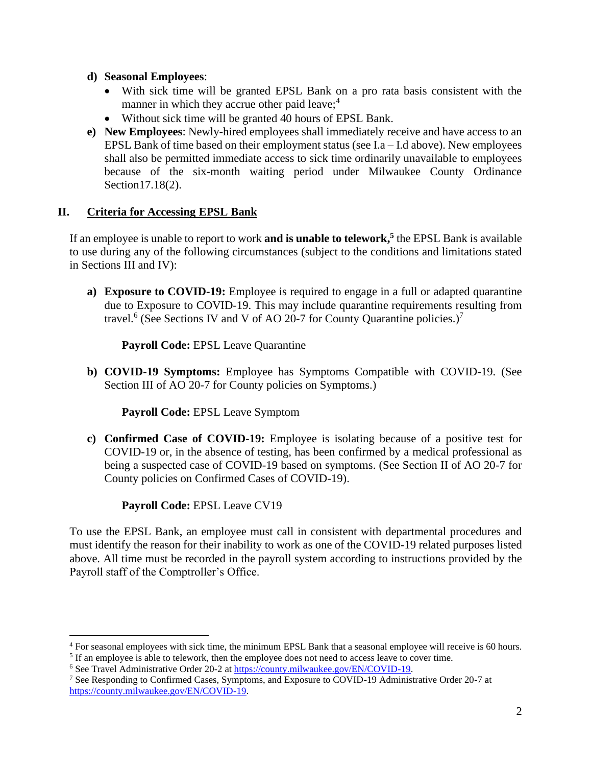### **d) Seasonal Employees**:

- With sick time will be granted EPSL Bank on a pro rata basis consistent with the manner in which they accrue other paid leave; $<sup>4</sup>$ </sup>
- Without sick time will be granted 40 hours of EPSL Bank.
- **e) New Employees**: Newly-hired employees shall immediately receive and have access to an EPSL Bank of time based on their employment status (see I.a – I.d above). New employees shall also be permitted immediate access to sick time ordinarily unavailable to employees because of the six-month waiting period under Milwaukee County Ordinance Section17.18(2).

# **II. Criteria for Accessing EPSL Bank**

If an employee is unable to report to work **and is unable to telework, 5** the EPSL Bank is available to use during any of the following circumstances (subject to the conditions and limitations stated in Sections III and IV):

**a) Exposure to COVID-19:** Employee is required to engage in a full or adapted quarantine due to Exposure to COVID-19. This may include quarantine requirements resulting from travel.<sup>6</sup> (See Sections IV and V of AO 20-7 for County Quarantine policies.)<sup>7</sup>

**Payroll Code:** EPSL Leave Quarantine

**b) COVID-19 Symptoms:** Employee has Symptoms Compatible with COVID-19. (See Section III of AO 20-7 for County policies on Symptoms.)

**Payroll Code:** EPSL Leave Symptom

**c) Confirmed Case of COVID-19:** Employee is isolating because of a positive test for COVID-19 or, in the absence of testing, has been confirmed by a medical professional as being a suspected case of COVID-19 based on symptoms. (See Section II of AO 20-7 for County policies on Confirmed Cases of COVID-19).

**Payroll Code:** EPSL Leave CV19

To use the EPSL Bank, an employee must call in consistent with departmental procedures and must identify the reason for their inability to work as one of the COVID-19 related purposes listed above. All time must be recorded in the payroll system according to instructions provided by the Payroll staff of the Comptroller's Office.

<sup>4</sup> For seasonal employees with sick time, the minimum EPSL Bank that a seasonal employee will receive is 60 hours.

 $<sup>5</sup>$  If an employee is able to telework, then the employee does not need to access leave to cover time.</sup>

<sup>6</sup> See Travel Administrative Order 20-2 at [https://county.milwaukee.gov/EN/COVID-19.](https://county.milwaukee.gov/EN/COVID-19)

<sup>&</sup>lt;sup>7</sup> See Responding to Confirmed Cases, Symptoms, and Exposure to COVID-19 Administrative Order 20-7 at [https://county.milwaukee.gov/EN/COVID-19.](https://county.milwaukee.gov/EN/COVID-19)